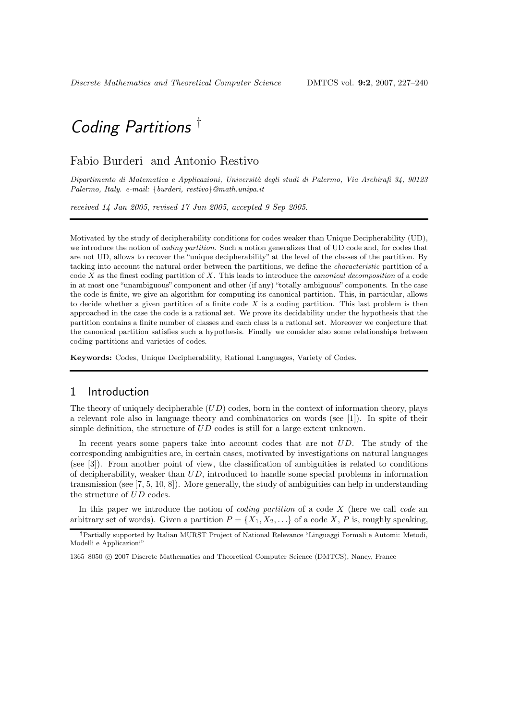## Fabio Burderi and Antonio Restivo

Dipartimento di Matematica e Applicazioni, Università degli studi di Palermo, Via Archirafi 34, 90123 Palermo, Italy. e-mail: {burderi, restivo}@math.unipa.it

received 14 Jan 2005, revised 17 Jun 2005, accepted 9 Sep 2005.

Motivated by the study of decipherability conditions for codes weaker than Unique Decipherability (UD), we introduce the notion of *coding partition*. Such a notion generalizes that of UD code and, for codes that are not UD, allows to recover the "unique decipherability" at the level of the classes of the partition. By tacking into account the natural order between the partitions, we define the characteristic partition of a code  $X$  as the finest coding partition of  $X$ . This leads to introduce the *canonical decomposition* of a code in at most one "unambiguous" component and other (if any) "totally ambiguous" components. In the case the code is finite, we give an algorithm for computing its canonical partition. This, in particular, allows to decide whether a given partition of a finite code  $X$  is a coding partition. This last problem is then approached in the case the code is a rational set. We prove its decidability under the hypothesis that the partition contains a finite number of classes and each class is a rational set. Moreover we conjecture that the canonical partition satisfies such a hypothesis. Finally we consider also some relationships between coding partitions and varieties of codes.

Keywords: Codes, Unique Decipherability, Rational Languages, Variety of Codes.

# 1 Introduction

The theory of uniquely decipherable  $(UD)$  codes, born in the context of information theory, plays a relevant role also in language theory and combinatorics on words (see [1]). In spite of their simple definition, the structure of UD codes is still for a large extent unknown.

In recent years some papers take into account codes that are not UD. The study of the corresponding ambiguities are, in certain cases, motivated by investigations on natural languages (see [3]). From another point of view, the classification of ambiguities is related to conditions of decipherability, weaker than UD, introduced to handle some special problems in information transmission (see  $[7, 5, 10, 8]$ ). More generally, the study of ambiguities can help in understanding the structure of UD codes.

In this paper we introduce the notion of *coding partition* of a code  $X$  (here we call *code* an arbitrary set of words). Given a partition  $P = \{X_1, X_2, \ldots\}$  of a code X, P is, roughly speaking,

<sup>†</sup>Partially supported by Italian MURST Project of National Relevance "Linguaggi Formali e Automi: Metodi, Modelli e Applicazioni"

<sup>1365–8050</sup> c 2007 Discrete Mathematics and Theoretical Computer Science (DMTCS), Nancy, France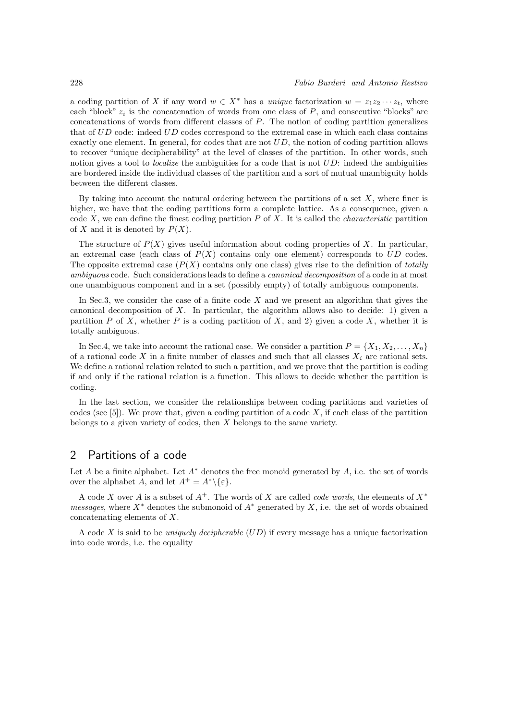a coding partition of X if any word  $w \in X^*$  has a unique factorization  $w = z_1z_2 \cdots z_t$ , where each "block"  $z_i$  is the concatenation of words from one class of  $P$ , and consecutive "blocks" are concatenations of words from different classes of P. The notion of coding partition generalizes that of UD code: indeed UD codes correspond to the extremal case in which each class contains exactly one element. In general, for codes that are not  $UD$ , the notion of coding partition allows to recover "unique decipherability" at the level of classes of the partition. In other words, such notion gives a tool to *localize* the ambiguities for a code that is not  $UD$ : indeed the ambiguities are bordered inside the individual classes of the partition and a sort of mutual unambiguity holds between the different classes.

By taking into account the natural ordering between the partitions of a set  $X$ , where finer is higher, we have that the coding partitions form a complete lattice. As a consequence, given a code  $X$ , we can define the finest coding partition  $P$  of  $X$ . It is called the *characteristic* partition of X and it is denoted by  $P(X)$ .

The structure of  $P(X)$  gives useful information about coding properties of X. In particular, an extremal case (each class of  $P(X)$  contains only one element) corresponds to  $UD$  codes. The opposite extremal case  $(P(X)$  contains only one class) gives rise to the definition of *totally* ambiguous code. Such considerations leads to define a *canonical decomposition* of a code in at most one unambiguous component and in a set (possibly empty) of totally ambiguous components.

In Sec.3, we consider the case of a finite code  $X$  and we present an algorithm that gives the canonical decomposition of X. In particular, the algorithm allows also to decide: 1) given a partition P of X, whether P is a coding partition of X, and 2) given a code X, whether it is totally ambiguous.

In Sec.4, we take into account the rational case. We consider a partition  $P = \{X_1, X_2, \ldots, X_n\}$ of a rational code X in a finite number of classes and such that all classes  $X_i$  are rational sets. We define a rational relation related to such a partition, and we prove that the partition is coding if and only if the rational relation is a function. This allows to decide whether the partition is coding.

In the last section, we consider the relationships between coding partitions and varieties of codes (see  $[5]$ ). We prove that, given a coding partition of a code X, if each class of the partition belongs to a given variety of codes, then X belongs to the same variety.

## 2 Partitions of a code

Let  $A$  be a finite alphabet. Let  $A^*$  denotes the free monoid generated by  $A$ , i.e. the set of words over the alphabet A, and let  $A^+ = A^* \setminus \{\varepsilon\}.$ 

A code X over A is a subset of  $A^+$ . The words of X are called *code words*, the elements of  $X^*$ messages, where  $X^*$  denotes the submonoid of  $A^*$  generated by  $X$ , i.e. the set of words obtained concatenating elements of X.

A code X is said to be *uniquely decipherable*  $(UD)$  if every message has a unique factorization into code words, i.e. the equality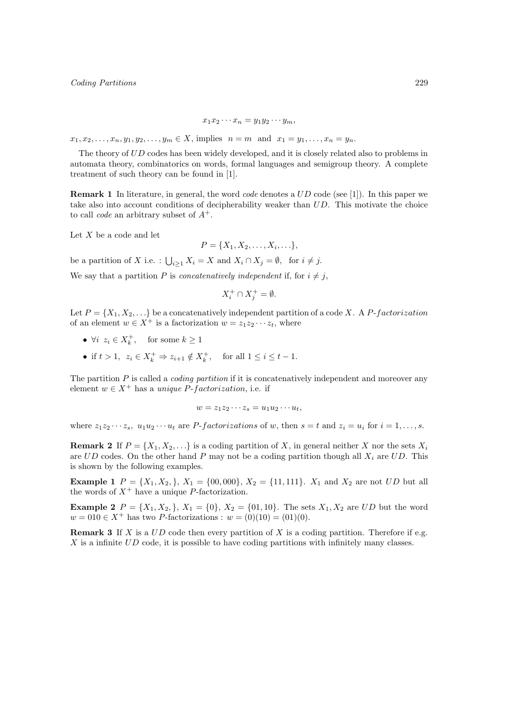$$
x_1x_2\cdots x_n=y_1y_2\cdots y_m,
$$

 $x_1, x_2, \ldots, x_n, y_1, y_2, \ldots, y_m \in X$ , implies  $n = m$  and  $x_1 = y_1, \ldots, x_n = y_n$ .

The theory of UD codes has been widely developed, and it is closely related also to problems in automata theory, combinatorics on words, formal languages and semigroup theory. A complete treatment of such theory can be found in [1].

Remark 1 In literature, in general, the word code denotes a UD code (see [1]). In this paper we take also into account conditions of decipherability weaker than UD. This motivate the choice to call *code* an arbitrary subset of  $A^+$ .

Let  $X$  be a code and let

$$
P = \{X_1, X_2, \ldots, X_i, \ldots\},\
$$

be a partition of X i.e. :  $\bigcup_{i\geq 1} X_i = X$  and  $X_i \cap X_j = \emptyset$ , for  $i \neq j$ .

We say that a partition P is *concatenatively independent* if, for  $i \neq j$ ,

$$
X_i^+ \cap X_j^+ = \emptyset.
$$

Let  $P = \{X_1, X_2, \ldots\}$  be a concatenatively independent partition of a code X. A P-factorization of an element  $w \in X^+$  is a factorization  $w = z_1 z_2 \cdots z_t$ , where

- $\forall i \ z_i \in X_k^+, \text{ for some } k \geq 1$
- if  $t > 1$ ,  $z_i \in X_k^+ \Rightarrow z_{i+1} \notin X_k^+$ , for all  $1 \le i \le t 1$ .

The partition  $P$  is called a *coding partition* if it is concatenatively independent and moreover any element  $w \in X^+$  has a unique P-factorization, i.e. if

$$
w = z_1 z_2 \cdots z_s = u_1 u_2 \cdots u_t,
$$

where  $z_1z_2 \cdots z_s$ ,  $u_1u_2 \cdots u_t$  are *P-factorizations* of w, then  $s = t$  and  $z_i = u_i$  for  $i = 1, \ldots, s$ .

**Remark 2** If  $P = \{X_1, X_2, \ldots\}$  is a coding partition of X, in general neither X nor the sets  $X_i$ are  $UD$  codes. On the other hand P may not be a coding partition though all  $X_i$  are  $UD$ . This is shown by the following examples.

**Example 1**  $P = \{X_1, X_2, \}$ ,  $X_1 = \{00, 000\}$ ,  $X_2 = \{11, 111\}$ .  $X_1$  and  $X_2$  are not UD but all the words of  $X^+$  have a unique P-factorization.

**Example 2**  $P = \{X_1, X_2, \}$ ,  $X_1 = \{0\}$ ,  $X_2 = \{01, 10\}$ . The sets  $X_1, X_2$  are UD but the word  $w = 010 \in X^+$  has two *P*-factorizations :  $w = (0)(10) = (01)(0)$ .

**Remark 3** If X is a  $UD$  code then every partition of X is a coding partition. Therefore if e.g.  $X$  is a infinite  $UD$  code, it is possible to have coding partitions with infinitely many classes.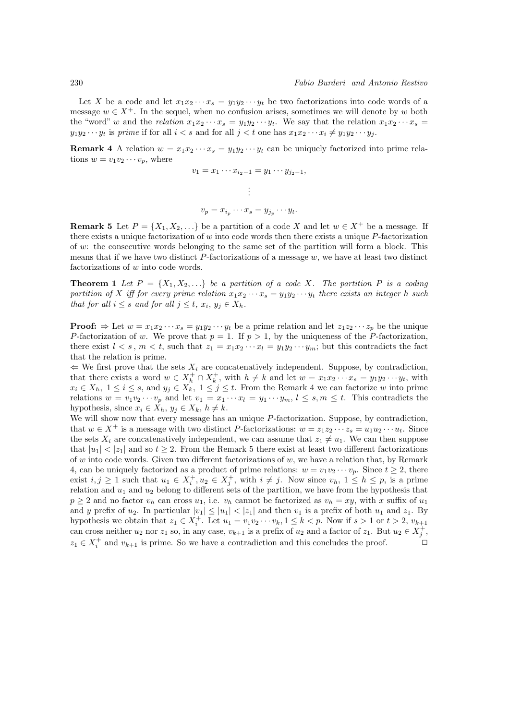Let X be a code and let  $x_1x_2\cdots x_s = y_1y_2\cdots y_t$  be two factorizations into code words of a message  $w \in X^+$ . In the sequel, when no confusion arises, sometimes we will denote by w both the "word" w and the relation  $x_1x_2 \cdots x_s = y_1y_2 \cdots y_t$ . We say that the relation  $x_1x_2 \cdots x_s =$  $y_1y_2 \cdots y_t$  is prime if for all  $i < s$  and for all  $j < t$  one has  $x_1x_2 \cdots x_i \neq y_1y_2 \cdots y_i$ .

**Remark 4** A relation  $w = x_1x_2 \cdots x_s = y_1y_2 \cdots y_t$  can be uniquely factorized into prime relations  $w = v_1v_2\cdots v_p$ , where

$$
v_1 = x_1 \cdots x_{i_2-1} = y_1 \cdots y_{j_2-1}
$$

$$
\vdots
$$

$$
v_p = x_{i_p} \cdots x_s = y_{j_p} \cdots y_t.
$$

**Remark 5** Let  $P = \{X_1, X_2, \ldots\}$  be a partition of a code X and let  $w \in X^+$  be a message. If there exists a unique factorization of  $w$  into code words then there exists a unique  $P$ -factorization of w: the consecutive words belonging to the same set of the partition will form a block. This means that if we have two distinct  $P$ -factorizations of a message  $w$ , we have at least two distinct factorizations of w into code words.

**Theorem 1** Let  $P = \{X_1, X_2, \ldots\}$  be a partition of a code X. The partition P is a coding partition of X iff for every prime relation  $x_1x_2 \cdots x_s = y_1y_2 \cdots y_t$  there exists an integer h such that for all  $i \leq s$  and for all  $j \leq t$ ,  $x_i, y_j \in X_h$ .

**Proof:**  $\Rightarrow$  Let  $w = x_1x_2 \cdots x_s = y_1y_2 \cdots y_t$  be a prime relation and let  $z_1z_2 \cdots z_p$  be the unique P-factorization of w. We prove that  $p = 1$ . If  $p > 1$ , by the uniqueness of the P-factorization, there exist  $l < s, m < t$ , such that  $z_1 = x_1x_2 \cdots x_l = y_1y_2 \cdots y_m$ ; but this contradicts the fact that the relation is prime.

 $\Leftarrow$  We first prove that the sets  $X_i$  are concatenatively independent. Suppose, by contradiction, that there exists a word  $w \in X_h^+ \cap X_k^+$ , with  $h \neq k$  and let  $w = x_1 x_2 \cdots x_s = y_1 y_2 \cdots y_t$ , with  $x_i \in X_h$ ,  $1 \leq i \leq s$ , and  $y_j \in X_k$ ,  $1 \leq j \leq t$ . From the Remark 4 we can factorize w into prime relations  $w = v_1v_2\cdots v_p$  and let  $v_1 = x_1\cdots x_l = y_1\cdots y_m$ ,  $l \leq s, m \leq t$ . This contradicts the hypothesis, since  $x_i \in X_h$ ,  $y_j \in X_k$ ,  $h \neq k$ .

We will show now that every message has an unique  $P$ -factorization. Suppose, by contradiction, that  $w \in X^+$  is a message with two distinct P-factorizations:  $w = z_1z_2 \cdots z_s = u_1u_2 \cdots u_t$ . Since the sets  $X_i$  are concatenatively independent, we can assume that  $z_1 \neq u_1$ . We can then suppose that  $|u_1| < |z_1|$  and so  $t \geq 2$ . From the Remark 5 there exist at least two different factorizations of w into code words. Given two different factorizations of w, we have a relation that, by Remark 4, can be uniquely factorized as a product of prime relations:  $w = v_1v_2 \cdots v_p$ . Since  $t \ge 2$ , there exist  $i, j \geq 1$  such that  $u_1 \in X_i^+, u_2 \in X_j^+,$  with  $i \neq j$ . Now since  $v_h$ ,  $1 \leq h \leq p$ , is a prime relation and  $u_1$  and  $u_2$  belong to different sets of the partition, we have from the hypothesis that  $p \ge 2$  and no factor  $v_h$  can cross  $u_1$ , i.e.  $v_h$  cannot be factorized as  $v_h = xy$ , with x suffix of  $u_1$ and y prefix of  $u_2$ . In particular  $|v_1| \le |u_1| < |z_1|$  and then  $v_1$  is a prefix of both  $u_1$  and  $z_1$ . By hypothesis we obtain that  $z_1 \in X_i^+$ . Let  $u_1 = v_1v_2 \cdots v_k$ ,  $1 \leq k < p$ . Now if  $s > 1$  or  $t > 2$ ,  $v_{k+1}$ can cross neither  $u_2$  nor  $z_1$  so, in any case,  $v_{k+1}$  is a prefix of  $u_2$  and a factor of  $z_1$ . But  $u_2 \in X_j^+$ ,  $z_1 \in X_i^+$  and  $v_{k+1}$  is prime. So we have a contradiction and this concludes the proof.  $\Box$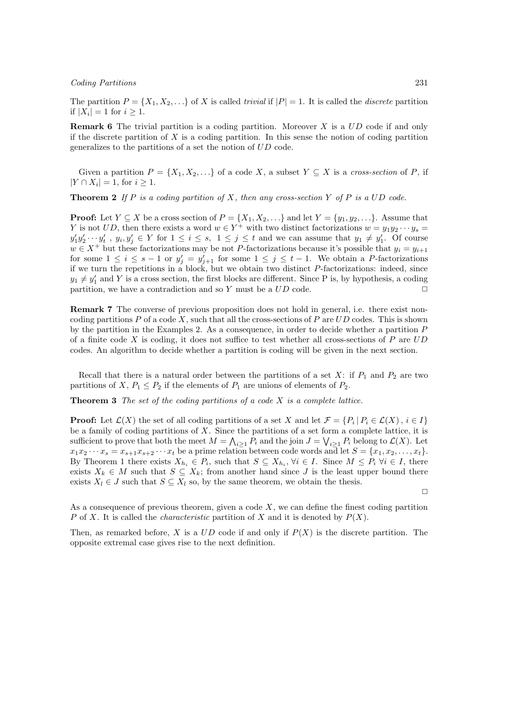The partition  $P = \{X_1, X_2, \ldots\}$  of X is called trivial if  $|P| = 1$ . It is called the *discrete* partition if  $|X_i| = 1$  for  $i \geq 1$ .

**Remark 6** The trivial partition is a coding partition. Moreover  $X$  is a  $UD$  code if and only if the discrete partition of  $X$  is a coding partition. In this sense the notion of coding partition generalizes to the partitions of a set the notion of UD code.

Given a partition  $P = \{X_1, X_2, \ldots\}$  of a code X, a subset  $Y \subseteq X$  is a cross-section of P, if  $|Y \cap X_i| = 1$ , for  $i \geq 1$ .

**Theorem 2** If P is a coding partition of X, then any cross-section Y of P is a UD code.

**Proof:** Let  $Y \subseteq X$  be a cross section of  $P = \{X_1, X_2, \ldots\}$  and let  $Y = \{y_1, y_2, \ldots\}$ . Assume that Y is not UD, then there exists a word  $w \in Y^+$  with two distinct factorizations  $w = y_1 y_2 \cdots y_s =$  $y'_1y'_2\cdots y'_t$ ,  $y_i, y'_j \in Y$  for  $1 \le i \le s$ ,  $1 \le j \le t$  and we can assume that  $y_1 \neq y'_1$ . Of course  $w \in X^+$  but these factorizations may be not P-factorizations because it's possible that  $y_i = y_{i+1}$ for some  $1 \leq i \leq s-1$  or  $y'_{j} = y'_{j+1}$  for some  $1 \leq j \leq t-1$ . We obtain a P-factorizations if we turn the repetitions in a block, but we obtain two distinct  $P$ -factorizations: indeed, since  $y_1 \neq y_1'$  and Y is a cross section, the first blocks are different. Since P is, by hypothesis, a coding partition, we have a contradiction and so Y must be a  $UD$  code.

Remark 7 The converse of previous proposition does not hold in general, i.e. there exist noncoding partitions  $P$  of a code  $X$ , such that all the cross-sections of  $P$  are  $UD$  codes. This is shown by the partition in the Examples 2. As a consequence, in order to decide whether a partition P of a finite code X is coding, it does not suffice to test whether all cross-sections of  $P$  are  $UD$ codes. An algorithm to decide whether a partition is coding will be given in the next section.

Recall that there is a natural order between the partitions of a set X: if  $P_1$  and  $P_2$  are two partitions of X,  $P_1 \leq P_2$  if the elements of  $P_1$  are unions of elements of  $P_2$ .

**Theorem 3** The set of the coding partitions of a code  $X$  is a complete lattice.

**Proof:** Let  $\mathcal{L}(X)$  the set of all coding partitions of a set X and let  $\mathcal{F} = \{P_i | P_i \in \mathcal{L}(X), i \in I\}$ be a family of coding partitions of  $X$ . Since the partitions of a set form a complete lattice, it is sufficient to prove that both the meet  $M = \bigwedge_{i \geq 1} P_i$  and the join  $J = \bigvee_{i \geq 1} P_i$  belong to  $\mathcal{L}(X)$ . Let  $x_1x_2 \cdots x_s = x_{s+1}x_{s+2} \cdots x_t$  be a prime relation between code words and let  $S = \{x_1, x_2, \ldots, x_t\}.$ By Theorem 1 there exists  $X_{h_i} \in P_i$ , such that  $S \subseteq X_{h_i}$ ,  $\forall i \in I$ . Since  $M \leq P_i$   $\forall i \in I$ , there exists  $X_k \in M$  such that  $S \subseteq X_k$ ; from another hand since J is the least upper bound there exists  $X_l \in J$  such that  $S \subseteq X_l$  so, by the same theorem, we obtain the thesis.

 $\Box$ 

As a consequence of previous theorem, given a code  $X$ , we can define the finest coding partition P of X. It is called the *characteristic* partition of X and it is denoted by  $P(X)$ .

Then, as remarked before, X is a  $UD$  code if and only if  $P(X)$  is the discrete partition. The opposite extremal case gives rise to the next definition.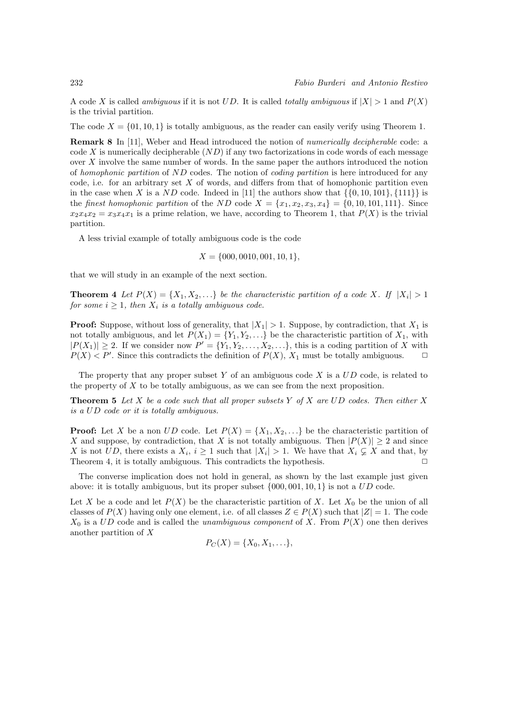A code X is called *ambiguous* if it is not UD. It is called *totally ambiguous* if  $|X| > 1$  and  $P(X)$ is the trivial partition.

The code  $X = \{01, 10, 1\}$  is totally ambiguous, as the reader can easily verify using Theorem 1.

Remark 8 In [11], Weber and Head introduced the notion of numerically decipherable code: a code X is numerically decipherable  $(ND)$  if any two factorizations in code words of each message over  $X$  involve the same number of words. In the same paper the authors introduced the notion of homophonic partition of ND codes. The notion of coding partition is here introduced for any code, i.e. for an arbitrary set  $X$  of words, and differs from that of homophonic partition even in the case when X is a ND code. Indeed in [11] the authors show that  $\{\{0, 10, 101\}, \{111\}\}\$ the *finest homophonic partition* of the ND code  $X = \{x_1, x_2, x_3, x_4\} = \{0, 10, 101, 111\}$ . Since  $x_2x_4x_2 = x_3x_4x_1$  is a prime relation, we have, according to Theorem 1, that  $P(X)$  is the trivial partition.

A less trivial example of totally ambiguous code is the code

$$
X = \{000, 0010, 001, 10, 1\},\
$$

that we will study in an example of the next section.

**Theorem 4** Let  $P(X) = \{X_1, X_2, \ldots\}$  be the characteristic partition of a code X. If  $|X_i| > 1$ for some  $i \geq 1$ , then  $X_i$  is a totally ambiguous code.

**Proof:** Suppose, without loss of generality, that  $|X_1| > 1$ . Suppose, by contradiction, that  $X_1$  is not totally ambiguous, and let  $P(X_1) = \{Y_1, Y_2, \ldots\}$  be the characteristic partition of  $X_1$ , with  $|P(X_1)| \geq 2$ . If we consider now  $P' = \{Y_1, Y_2, \ldots, X_2, \ldots\}$ , this is a coding partition of X with  $P(X) < P'$ . Since this contradicts the definition of  $P(X)$ ,  $X_1$  must be totally ambiguous.  $\Box$ 

The property that any proper subset Y of an ambiguous code X is a  $UD$  code, is related to the property of X to be totally ambiguous, as we can see from the next proposition.

**Theorem 5** Let X be a code such that all proper subsets Y of X are UD codes. Then either X is a UD code or it is totally ambiguous.

**Proof:** Let X be a non UD code. Let  $P(X) = \{X_1, X_2, ...\}$  be the characteristic partition of X and suppose, by contradiction, that X is not totally ambiguous. Then  $|P(X)| \geq 2$  and since X is not UD, there exists a  $X_i$ ,  $i \geq 1$  such that  $|X_i| > 1$ . We have that  $X_i \subsetneq X$  and that, by Theorem 4, it is totally ambiguous. This contradicts the hypothesis.  $\Box$ 

The converse implication does not hold in general, as shown by the last example just given above: it is totally ambiguous, but its proper subset  $\{000, 001, 10, 1\}$  is not a  $UD$  code.

Let X be a code and let  $P(X)$  be the characteristic partition of X. Let  $X_0$  be the union of all classes of  $P(X)$  having only one element, i.e. of all classes  $Z \in P(X)$  such that  $|Z| = 1$ . The code  $X_0$  is a UD code and is called the unambiguous component of X. From  $P(X)$  one then derives another partition of X

$$
P_C(X) = \{X_0, X_1, \ldots\},\
$$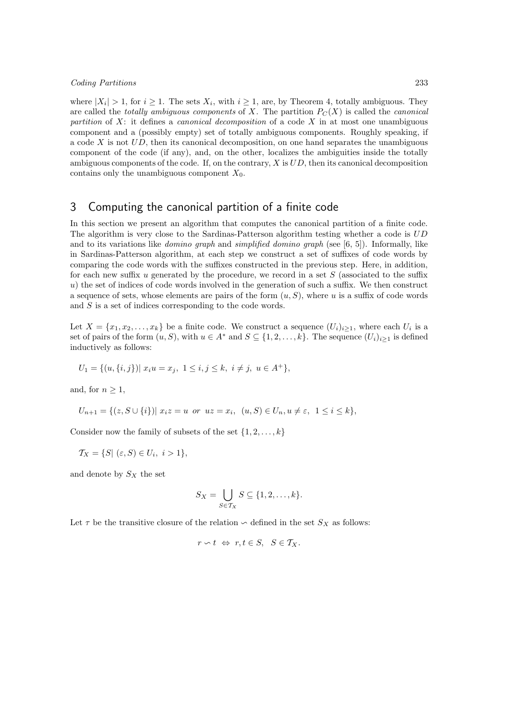where  $|X_i| > 1$ , for  $i \ge 1$ . The sets  $X_i$ , with  $i \ge 1$ , are, by Theorem 4, totally ambiguous. They are called the *totally ambiguous components* of X. The partition  $P_C(X)$  is called the *canonical* partition of X: it defines a *canonical decomposition* of a code X in at most one unambiguous component and a (possibly empty) set of totally ambiguous components. Roughly speaking, if a code X is not  $UD$ , then its canonical decomposition, on one hand separates the unambiguous component of the code (if any), and, on the other, localizes the ambiguities inside the totally ambiguous components of the code. If, on the contrary,  $X$  is  $UD$ , then its canonical decomposition contains only the unambiguous component  $X_0$ .

## 3 Computing the canonical partition of a finite code

In this section we present an algorithm that computes the canonical partition of a finite code. The algorithm is very close to the Sardinas-Patterson algorithm testing whether a code is UD and to its variations like *domino graph* and *simplified domino graph* (see [6, 5]). Informally, like in Sardinas-Patterson algorithm, at each step we construct a set of suffixes of code words by comparing the code words with the suffixes constructed in the previous step. Here, in addition, for each new suffix u generated by the procedure, we record in a set  $S$  (associated to the suffix  $u$ ) the set of indices of code words involved in the generation of such a suffix. We then construct a sequence of sets, whose elements are pairs of the form  $(u, S)$ , where u is a suffix of code words and S is a set of indices corresponding to the code words.

Let  $X = \{x_1, x_2, \ldots, x_k\}$  be a finite code. We construct a sequence  $(U_i)_{i \geq 1}$ , where each  $U_i$  is a set of pairs of the form  $(u, S)$ , with  $u \in A^*$  and  $S \subseteq \{1, 2, \ldots, k\}$ . The sequence  $(U_i)_{i \geq 1}$  is defined inductively as follows:

$$
U_1 = \{(u, \{i, j\}) | x_i u = x_j, 1 \le i, j \le k, i \ne j, u \in A^+\},\
$$

and, for  $n \geq 1$ ,

$$
U_{n+1} = \{(z, S \cup \{i\}) | x_i z = u \text{ or } u z = x_i, \ (u, S) \in U_n, u \neq \varepsilon, \ 1 \le i \le k\},\
$$

Consider now the family of subsets of the set  $\{1, 2, \ldots, k\}$ 

$$
\mathcal{T}_X = \{ S | (\varepsilon, S) \in U_i, i > 1 \},\
$$

and denote by  $S_X$  the set

$$
S_X = \bigcup_{S \in \mathcal{T}_X} S \subseteq \{1, 2, \dots, k\}.
$$

Let  $\tau$  be the transitive closure of the relation  $\sim$  defined in the set  $S_X$  as follows:

$$
r \backsim t \ \Leftrightarrow \ r, t \in S, \ \ S \in \mathcal{T}_X.
$$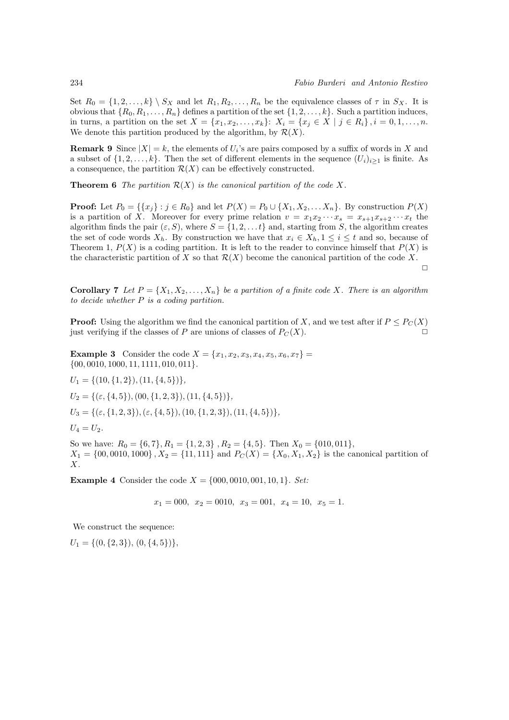Set  $R_0 = \{1, 2, \ldots, k\} \setminus S_X$  and let  $R_1, R_2, \ldots, R_n$  be the equivalence classes of  $\tau$  in  $S_X$ . It is obvious that  $\{R_0, R_1, \ldots, R_n\}$  defines a partition of the set  $\{1, 2, \ldots, k\}$ . Such a partition induces, in turns, a partition on the set  $X = \{x_1, x_2, \ldots, x_k\}: X_i = \{x_j \in X \mid j \in R_i\}, i = 0, 1, \ldots, n$ . We denote this partition produced by the algorithm, by  $\mathcal{R}(X)$ .

**Remark 9** Since  $|X| = k$ , the elements of  $U_i$ 's are pairs composed by a suffix of words in X and a subset of  $\{1, 2, \ldots, k\}$ . Then the set of different elements in the sequence  $(U_i)_{i\geq 1}$  is finite. As a consequence, the partition  $\mathcal{R}(X)$  can be effectively constructed.

**Theorem 6** The partition  $\mathcal{R}(X)$  is the canonical partition of the code X.

**Proof:** Let  $P_0 = \{\{x_j\} : j \in R_0\}$  and let  $P(X) = P_0 \cup \{X_1, X_2, \ldots, X_n\}$ . By construction  $P(X)$ is a partition of X. Moreover for every prime relation  $v = x_1x_2 \cdots x_s = x_{s+1}x_{s+2} \cdots x_t$  the algorithm finds the pair  $(\varepsilon, S)$ , where  $S = \{1, 2, \ldots t\}$  and, starting from S, the algorithm creates the set of code words  $X_h$ . By construction we have that  $x_i \in X_h$ ,  $1 \leq i \leq t$  and so, because of Theorem 1,  $P(X)$  is a coding partition. It is left to the reader to convince himself that  $P(X)$  is the characteristic partition of X so that  $\mathcal{R}(X)$  become the canonical partition of the code X.  $\Box$ 

**Corollary 7** Let  $P = \{X_1, X_2, \ldots, X_n\}$  be a partition of a finite code X. There is an algorithm to decide whether P is a coding partition.

**Proof:** Using the algorithm we find the canonical partition of X, and we test after if  $P \leq P<sub>C</sub>(X)$ just verifying if the classes of  $P$  are unions of classes of  $P_C(X)$ .

**Example 3** Consider the code  $X = \{x_1, x_2, x_3, x_4, x_5, x_6, x_7\}$  $\{00, 0010, 1000, 11, 1111, 010, 011\}.$ 

 $U_1 = \{(10, \{1, 2\}), (11, \{4, 5\})\},\$  $U_2 = \{(\epsilon, \{4, 5\}), (00, \{1, 2, 3\}), (11, \{4, 5\})\},\$  $U_3 = \{(\varepsilon, \{1, 2, 3\}), (\varepsilon, \{4, 5\}), (10, \{1, 2, 3\}), (11, \{4, 5\})\},\$  $U_4 = U_2$ .

So we have:  $R_0 = \{6, 7\}, R_1 = \{1, 2, 3\}, R_2 = \{4, 5\}.$  Then  $X_0 = \{010, 011\},$  $X_1 = \{00, 0010, 1000\}, X_2 = \{11, 111\}$  and  $P_C(X) = \{X_0, X_1, X_2\}$  is the canonical partition of X.

**Example 4** Consider the code  $X = \{000, 0010, 001, 10, 1\}$ . Set:

$$
x_1 = 000
$$
,  $x_2 = 0010$ ,  $x_3 = 001$ ,  $x_4 = 10$ ,  $x_5 = 1$ .

We construct the sequence:

 $U_1 = \{(0, \{2, 3\}), (0, \{4, 5\})\},\$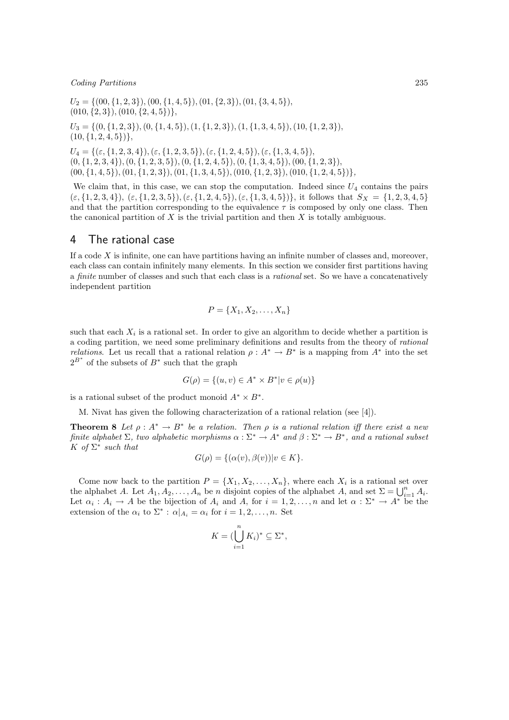$U_2 = \{(00, \{1, 2, 3\}), (00, \{1, 4, 5\}), (01, \{2, 3\}), (01, \{3, 4, 5\}),$  $(010, \{2,3\}), (010, \{2,4,5\})$ ,  $U_3 = \{(0, \{1, 2, 3\}), (0, \{1, 4, 5\}), (1, \{1, 2, 3\}), (1, \{1, 3, 4, 5\}), (10, \{1, 2, 3\}),$  $(10, \{1, 2, 4, 5\})$ ,  $U_4 = \{(\varepsilon, \{1, 2, 3, 4\}), (\varepsilon, \{1, 2, 3, 5\}), (\varepsilon, \{1, 2, 4, 5\}), (\varepsilon, \{1, 3, 4, 5\}),\$  $(0, \{1, 2, 3, 4\}), (0, \{1, 2, 3, 5\}), (0, \{1, 2, 4, 5\}), (0, \{1, 3, 4, 5\}), (00, \{1, 2, 3\}),$  $(00, \{1, 4, 5\}), (01, \{1, 2, 3\}), (01, \{1, 3, 4, 5\}), (010, \{1, 2, 3\}), (010, \{1, 2, 4, 5\})\},$ 

We claim that, in this case, we can stop the computation. Indeed since  $U_4$  contains the pairs  $(\varepsilon, \{1, 2, 3, 4\}), (\varepsilon, \{1, 2, 3, 5\}), (\varepsilon, \{1, 2, 4, 5\}), (\varepsilon, \{1, 3, 4, 5\})$ , it follows that  $S_X = \{1, 2, 3, 4, 5\}$ and that the partition corresponding to the equivalence  $\tau$  is composed by only one class. Then the canonical partition of  $X$  is the trivial partition and then  $X$  is totally ambiguous.

## 4 The rational case

If a code  $X$  is infinite, one can have partitions having an infinite number of classes and, moreover, each class can contain infinitely many elements. In this section we consider first partitions having a finite number of classes and such that each class is a rational set. So we have a concatenatively independent partition

$$
P = \{X_1, X_2, \ldots, X_n\}
$$

such that each  $X_i$  is a rational set. In order to give an algorithm to decide whether a partition is a coding partition, we need some preliminary definitions and results from the theory of rational *relations*. Let us recall that a rational relation  $\rho : A^* \to B^*$  is a mapping from  $A^*$  into the set  $2^{B^*}$  of the subsets of  $B^*$  such that the graph

$$
G(\rho) = \{(u, v) \in A^* \times B^* | v \in \rho(u)\}
$$

is a rational subset of the product monoid  $A^* \times B^*$ .

M. Nivat has given the following characterization of a rational relation (see [4]).

**Theorem 8** Let  $\rho: A^* \to B^*$  be a relation. Then  $\rho$  is a rational relation iff there exist a new finite alphabet  $\Sigma$ , two alphabetic morphisms  $\alpha : \Sigma^* \to A^*$  and  $\beta : \Sigma^* \to B^*$ , and a rational subset K of  $\Sigma^*$  such that

$$
G(\rho) = \{(\alpha(v), \beta(v)) | v \in K\}.
$$

Come now back to the partition  $P = \{X_1, X_2, \ldots, X_n\}$ , where each  $X_i$  is a rational set over the alphabet A. Let  $A_1, A_2, \ldots, A_n$  be n disjoint copies of the alphabet A, and set  $\Sigma = \bigcup_{i=1}^n A_i$ . Let  $\alpha_i : A_i \to A$  be the bijection of  $A_i$  and  $A$ , for  $i = 1, 2, ..., n$  and let  $\alpha : \Sigma^* \to A^*$  be the extension of the  $\alpha_i$  to  $\Sigma^*$ :  $\alpha|_{A_i} = \alpha_i$  for  $i = 1, 2, ..., n$ . Set

$$
K = (\bigcup_{i=1}^{n} K_i)^* \subseteq \Sigma^*,
$$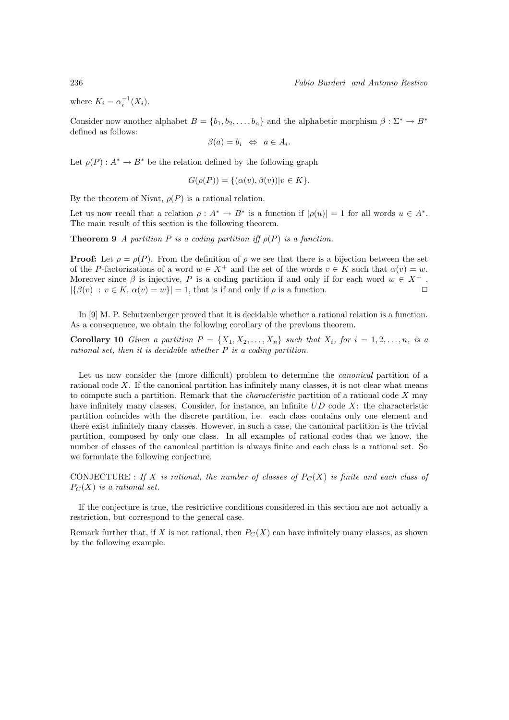where  $K_i = \alpha_i^{-1}(X_i)$ .

Consider now another alphabet  $B = \{b_1, b_2, \ldots, b_n\}$  and the alphabetic morphism  $\beta : \Sigma^* \to B^*$ defined as follows:

$$
\beta(a) = b_i \Leftrightarrow a \in A_i.
$$

Let  $\rho(P)$ :  $A^* \to B^*$  be the relation defined by the following graph

$$
G(\rho(P)) = \{ (\alpha(v), \beta(v)) | v \in K \}.
$$

By the theorem of Nivat,  $\rho(P)$  is a rational relation.

Let us now recall that a relation  $\rho : A^* \to B^*$  is a function if  $|\rho(u)| = 1$  for all words  $u \in A^*$ . The main result of this section is the following theorem.

**Theorem 9** A partition P is a coding partition iff  $\rho(P)$  is a function.

**Proof:** Let  $\rho = \rho(P)$ . From the definition of  $\rho$  we see that there is a bijection between the set of the P-factorizations of a word  $w \in X^+$  and the set of the words  $v \in K$  such that  $\alpha(v) = w$ . Moreover since  $\beta$  is injective, P is a coding partition if and only if for each word  $w \in X^+$ ,  $|\{\beta(v) : v \in K, \alpha(v) = w\}| = 1$ , that is if and only if  $\rho$  is a function.

In [9] M. P. Schutzenberger proved that it is decidable whether a rational relation is a function. As a consequence, we obtain the following corollary of the previous theorem.

**Corollary 10** Given a partition  $P = \{X_1, X_2, \ldots, X_n\}$  such that  $X_i$ , for  $i = 1, 2, \ldots, n$ , is a rational set, then it is decidable whether  $P$  is a coding partition.

Let us now consider the (more difficult) problem to determine the *canonical* partition of a rational code  $X$ . If the canonical partition has infinitely many classes, it is not clear what means to compute such a partition. Remark that the *characteristic* partition of a rational code  $X$  may have infinitely many classes. Consider, for instance, an infinite  $UD$  code X: the characteristic partition coincides with the discrete partition, i.e. each class contains only one element and there exist infinitely many classes. However, in such a case, the canonical partition is the trivial partition, composed by only one class. In all examples of rational codes that we know, the number of classes of the canonical partition is always finite and each class is a rational set. So we formulate the following conjecture.

CONJECTURE : If X is rational, the number of classes of  $P<sub>C</sub>(X)$  is finite and each class of  $P_C(X)$  is a rational set.

If the conjecture is true, the restrictive conditions considered in this section are not actually a restriction, but correspond to the general case.

Remark further that, if X is not rational, then  $P_C(X)$  can have infinitely many classes, as shown by the following example.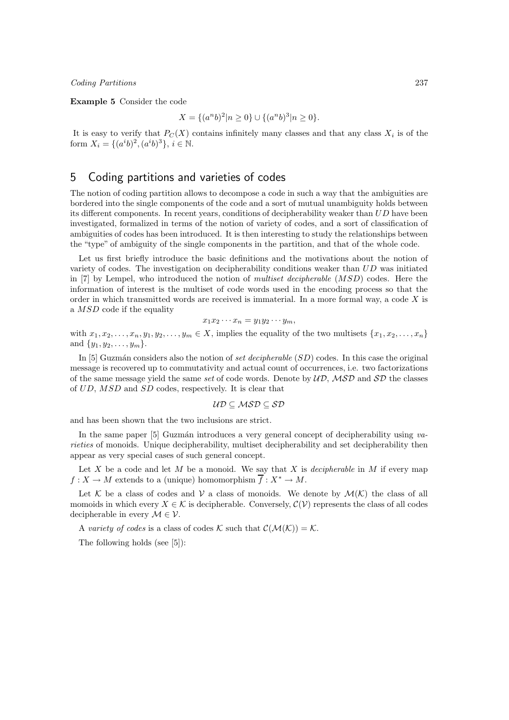Example 5 Consider the code

$$
X = \{(a^n b)^2 | n \ge 0\} \cup \{(a^n b)^3 | n \ge 0\}.
$$

It is easy to verify that  $P<sub>C</sub>(X)$  contains infinitely many classes and that any class  $X<sub>i</sub>$  is of the form  $X_i = \{(a^i b)^2, (a^i b)^3\}, i \in \mathbb{N}$ .

# 5 Coding partitions and varieties of codes

The notion of coding partition allows to decompose a code in such a way that the ambiguities are bordered into the single components of the code and a sort of mutual unambiguity holds between its different components. In recent years, conditions of decipherability weaker than  $UD$  have been investigated, formalized in terms of the notion of variety of codes, and a sort of classification of ambiguities of codes has been introduced. It is then interesting to study the relationships between the "type" of ambiguity of the single components in the partition, and that of the whole code.

Let us first briefly introduce the basic definitions and the motivations about the notion of variety of codes. The investigation on decipherability conditions weaker than UD was initiated in [7] by Lempel, who introduced the notion of multiset decipherable (MSD) codes. Here the information of interest is the multiset of code words used in the encoding process so that the order in which transmitted words are received is immaterial. In a more formal way, a code  $X$  is a MSD code if the equality

$$
x_1x_2\cdots x_n=y_1y_2\cdots y_m,
$$

with  $x_1, x_2, \ldots, x_n, y_1, y_2, \ldots, y_m \in X$ , implies the equality of the two multisets  $\{x_1, x_2, \ldots, x_n\}$ and  $\{y_1, y_2, \ldots, y_m\}.$ 

In [5] Guzmán considers also the notion of set decipherable  $(SD)$  codes. In this case the original message is recovered up to commutativity and actual count of occurrences, i.e. two factorizations of the same message yield the same set of code words. Denote by  $\mathcal{UD}, \mathcal{MSD}$  and  $\mathcal{SD}$  the classes of UD, MSD and SD codes, respectively. It is clear that

$$
\mathcal{UD} \subseteq \mathcal{MSD} \subseteq \mathcal{SD}
$$

and has been shown that the two inclusions are strict.

In the same paper  $[5]$  Guzmán introduces a very general concept of decipherability using varieties of monoids. Unique decipherability, multiset decipherability and set decipherability then appear as very special cases of such general concept.

Let X be a code and let M be a monoid. We say that X is *decipherable* in M if every map  $f: X \to M$  extends to a (unique) homomorphism  $f: X^* \to M$ .

Let K be a class of codes and V a class of monoids. We denote by  $\mathcal{M}(\mathcal{K})$  the class of all momoids in which every  $X \in \mathcal{K}$  is decipherable. Conversely,  $\mathcal{C}(\mathcal{V})$  represents the class of all codes decipherable in every  $\mathcal{M} \in \mathcal{V}$ .

A variety of codes is a class of codes K such that  $\mathcal{C}(\mathcal{M}(\mathcal{K})) = \mathcal{K}$ .

The following holds (see [5]):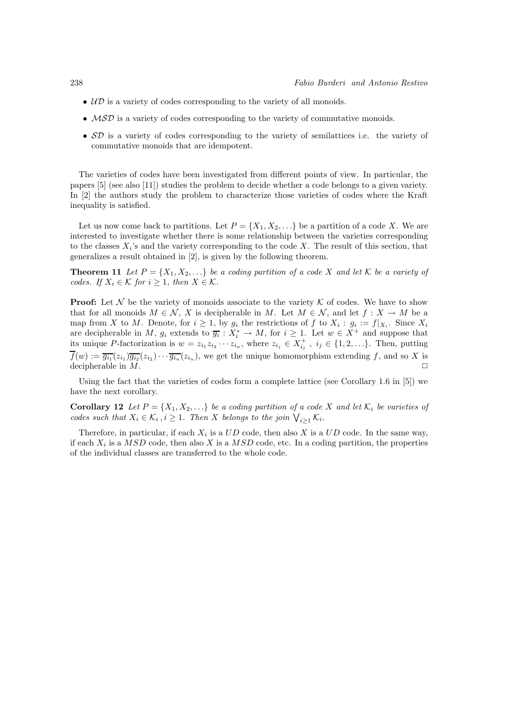- $\mathcal{UD}$  is a variety of codes corresponding to the variety of all monoids.
- MSD is a variety of codes corresponding to the variety of commutative monoids.
- SD is a variety of codes corresponding to the variety of semilattices i.e. the variety of commutative monoids that are idempotent.

The varieties of codes have been investigated from different points of view. In particular, the papers [5] (see also [11]) studies the problem to decide whether a code belongs to a given variety. In [2] the authors study the problem to characterize those varieties of codes where the Kraft inequality is satisfied.

Let us now come back to partitions. Let  $P = \{X_1, X_2, \ldots\}$  be a partition of a code X. We are interested to investigate whether there is some relationship between the varieties corresponding to the classes  $X_i$ 's and the variety corresponding to the code X. The result of this section, that generalizes a result obtained in [2], is given by the following theorem.

**Theorem 11** Let  $P = \{X_1, X_2, ...\}$  be a coding partition of a code X and let K be a variety of codes. If  $X_i \in \mathcal{K}$  for  $i \geq 1$ , then  $X \in \mathcal{K}$ .

**Proof:** Let  $\mathcal N$  be the variety of monoids associate to the variety  $\mathcal K$  of codes. We have to show that for all monoids  $M \in \mathcal{N}$ , X is decipherable in M. Let  $M \in \mathcal{N}$ , and let  $f: X \to M$  be a map from X to M. Denote, for  $i \geq 1$ , by  $g_i$  the restrictions of f to  $X_i : g_i := f|_{X_i}$ . Since  $X_i$ are decipherable in M,  $g_i$  extends to  $\overline{g_i}: X_i^* \to M$ , for  $i \geq 1$ . Let  $w \in X^+$  and suppose that its unique P-factorization is  $w = z_{i_1} z_{i_2} \cdots z_{i_n}$ , where  $z_{i_j} \in X_{i_j}^+$ ,  $i_j \in \{1, 2, \ldots\}$ . Then, putting  $f(w) := \overline{g_{i_1}}(z_{i_1}) \overline{g_{i_2}}(z_{i_2}) \cdots \overline{g_{i_n}}(z_{i_n})$ , we get the unique homomorphism extending f, and so X is decipherable in  $M$ .

Using the fact that the varieties of codes form a complete lattice (see Corollary 1.6 in [5]) we have the next corollary.

**Corollary 12** Let  $P = \{X_1, X_2, \ldots\}$  be a coding partition of a code X and let  $\mathcal{K}_i$  be varieties of codes such that  $X_i \in \mathcal{K}_i$ ,  $i \geq 1$ . Then X belongs to the join  $\bigvee_{i \geq 1} \mathcal{K}_i$ .

Therefore, in particular, if each  $X_i$  is a  $UD$  code, then also X is a  $UD$  code. In the same way, if each  $X_i$  is a  $MSD$  code, then also X is a  $MSD$  code, etc. In a coding partition, the properties of the individual classes are transferred to the whole code.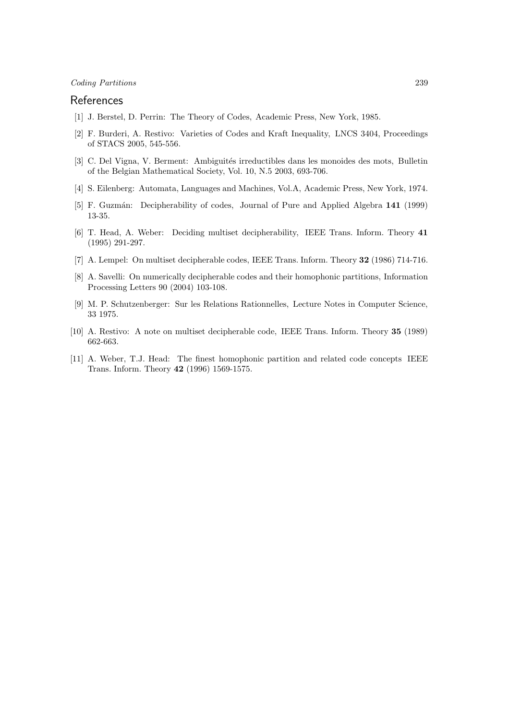## References

- [1] J. Berstel, D. Perrin: The Theory of Codes, Academic Press, New York, 1985.
- [2] F. Burderi, A. Restivo: Varieties of Codes and Kraft Inequality, LNCS 3404, Proceedings of STACS 2005, 545-556.
- [3] C. Del Vigna, V. Berment: Ambiguités irreductibles dans les monoides des mots, Bulletin of the Belgian Mathematical Society, Vol. 10, N.5 2003, 693-706.
- [4] S. Eilenberg: Automata, Languages and Machines, Vol.A, Academic Press, New York, 1974.
- [5] F. Guzmán: Decipherability of codes, Journal of Pure and Applied Algebra 141 (1999) 13-35.
- [6] T. Head, A. Weber: Deciding multiset decipherability, IEEE Trans. Inform. Theory 41 (1995) 291-297.
- [7] A. Lempel: On multiset decipherable codes, IEEE Trans. Inform. Theory 32 (1986) 714-716.
- [8] A. Savelli: On numerically decipherable codes and their homophonic partitions, Information Processing Letters 90 (2004) 103-108.
- [9] M. P. Schutzenberger: Sur les Relations Rationnelles, Lecture Notes in Computer Science, 33 1975.
- [10] A. Restivo: A note on multiset decipherable code, IEEE Trans. Inform. Theory 35 (1989) 662-663.
- [11] A. Weber, T.J. Head: The finest homophonic partition and related code concepts IEEE Trans. Inform. Theory 42 (1996) 1569-1575.